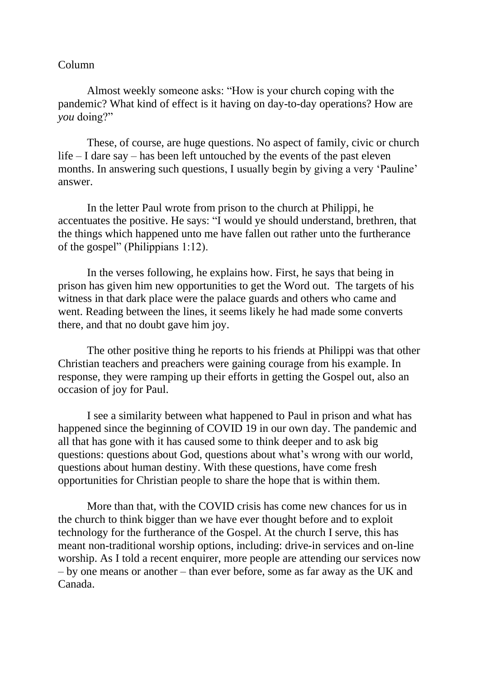## Column

Almost weekly someone asks: "How is your church coping with the pandemic? What kind of effect is it having on day-to-day operations? How are *you* doing?"

These, of course, are huge questions. No aspect of family, civic or church life – I dare say – has been left untouched by the events of the past eleven months. In answering such questions, I usually begin by giving a very 'Pauline' answer.

In the letter Paul wrote from prison to the church at Philippi, he accentuates the positive. He says: "I would ye should understand, brethren, that the things which happened unto me have fallen out rather unto the furtherance of the gospel" (Philippians 1:12).

In the verses following, he explains how. First, he says that being in prison has given him new opportunities to get the Word out. The targets of his witness in that dark place were the palace guards and others who came and went. Reading between the lines, it seems likely he had made some converts there, and that no doubt gave him joy.

The other positive thing he reports to his friends at Philippi was that other Christian teachers and preachers were gaining courage from his example. In response, they were ramping up their efforts in getting the Gospel out, also an occasion of joy for Paul.

I see a similarity between what happened to Paul in prison and what has happened since the beginning of COVID 19 in our own day. The pandemic and all that has gone with it has caused some to think deeper and to ask big questions: questions about God, questions about what's wrong with our world, questions about human destiny. With these questions, have come fresh opportunities for Christian people to share the hope that is within them.

More than that, with the COVID crisis has come new chances for us in the church to think bigger than we have ever thought before and to exploit technology for the furtherance of the Gospel. At the church I serve, this has meant non-traditional worship options, including: drive-in services and on-line worship. As I told a recent enquirer, more people are attending our services now – by one means or another – than ever before, some as far away as the UK and Canada.